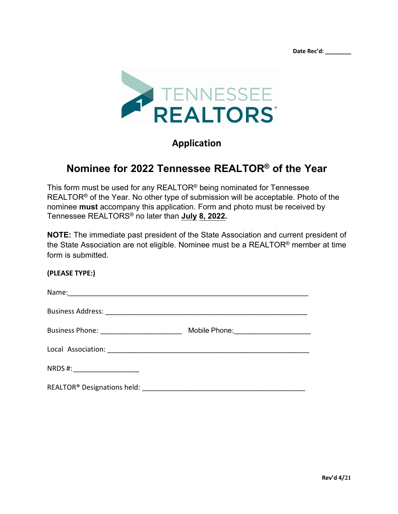**Date Rec'd: \_\_\_\_\_\_\_\_**



# **Application**

# **Nominee for 2022 Tennessee REALTOR® of the Year**

This form must be used for any REALTOR® being nominated for Tennessee REALTOR<sup>®</sup> of the Year. No other type of submission will be acceptable. Photo of the nominee **must** accompany this application. Form and photo must be received by Tennessee REALTORS® no later than **July 8, 2022.** 

**NOTE:** The immediate past president of the State Association and current president of the State Association are not eligible. Nominee must be a REALTOR® member at time form is submitted.

#### **(PLEASE TYPE:)**

| Name:                                                        |                                        |
|--------------------------------------------------------------|----------------------------------------|
| <b>Business Address:</b>                                     |                                        |
|                                                              | Mobile Phone: ________________________ |
|                                                              |                                        |
| NRDS#:<br><u> 1980 - Johann Barbara, martin amerikan per</u> |                                        |

REALTOR<sup>®</sup> Designations held: **We are all that the set of the set of the set of the set of the set of the set of the set of the set of the set of the set of the set of the set of the set of the set of the set of the set of**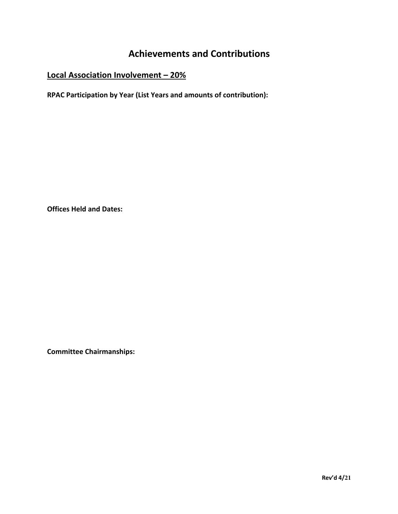# **Achievements and Contributions**

# **Local Association Involvement – 20%**

**RPAC Participation by Year (List Years and amounts of contribution):** 

**Offices Held and Dates:**

**Committee Chairmanships:**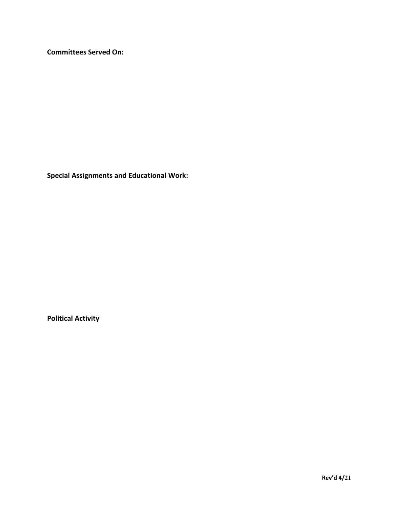**Committees Served On:**

**Special Assignments and Educational Work:** 

**Political Activity**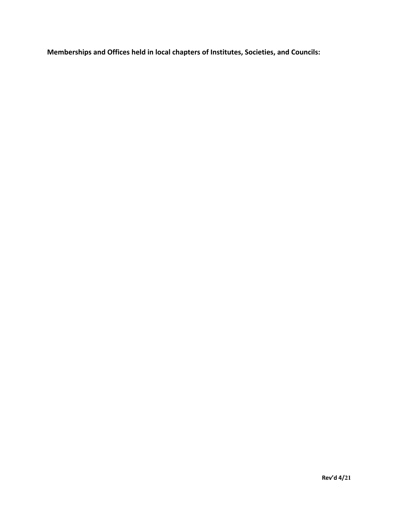**Memberships and Offices held in local chapters of Institutes, Societies, and Councils:**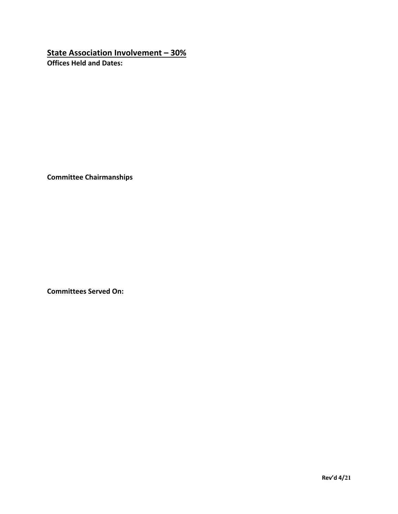### **State Association Involvement – 30%**

**Offices Held and Dates:**

**Committee Chairmanships**

**Committees Served On:**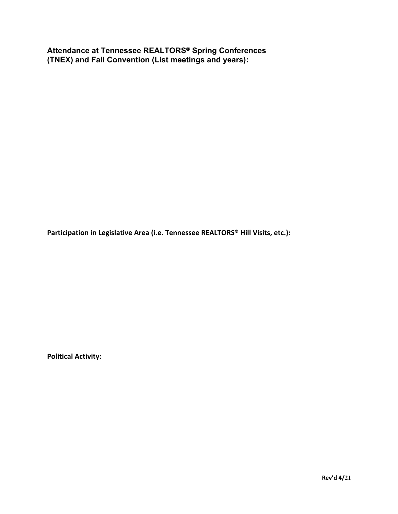**Attendance at Tennessee REALTORS® Spring Conferences (TNEX) and Fall Convention (List meetings and years):** 

**Participation in Legislative Area (i.e. Tennessee REALTORS® Hill Visits, etc.):** 

**Political Activity:**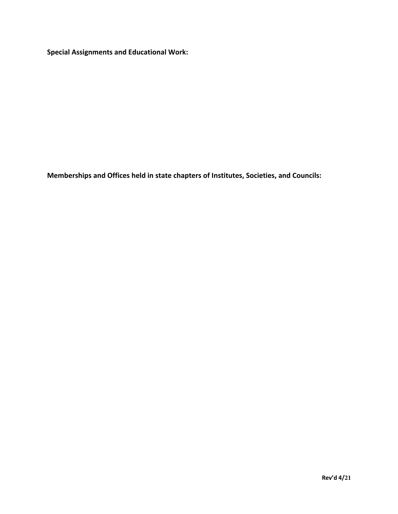**Special Assignments and Educational Work:** 

**Memberships and Offices held in state chapters of Institutes, Societies, and Councils:**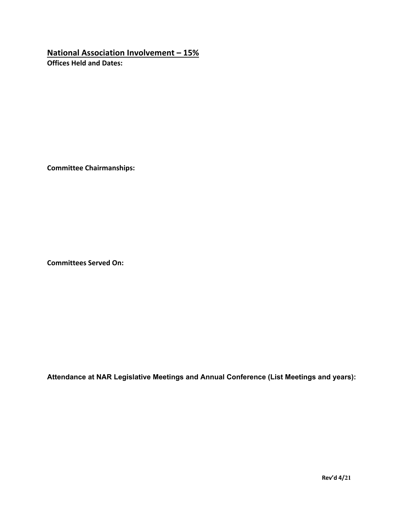### **National Association Involvement – 15%**

**Offices Held and Dates:**

**Committee Chairmanships:**

**Committees Served On:**

**Attendance at NAR Legislative Meetings and Annual Conference (List Meetings and years):**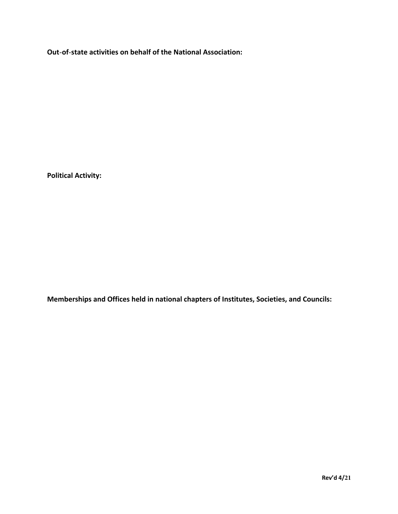**Out-of-state activities on behalf of the National Association:** 

**Political Activity:** 

**Memberships and Offices held in national chapters of Institutes, Societies, and Councils:**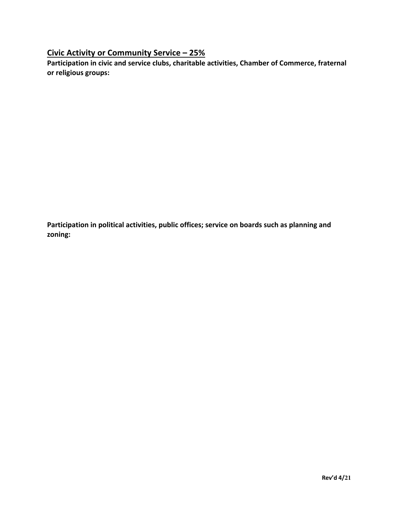### **Civic Activity or Community Service – 25%**

**Participation in civic and service clubs, charitable activities, Chamber of Commerce, fraternal or religious groups:**

**Participation in political activities, public offices; service on boards such as planning and zoning:**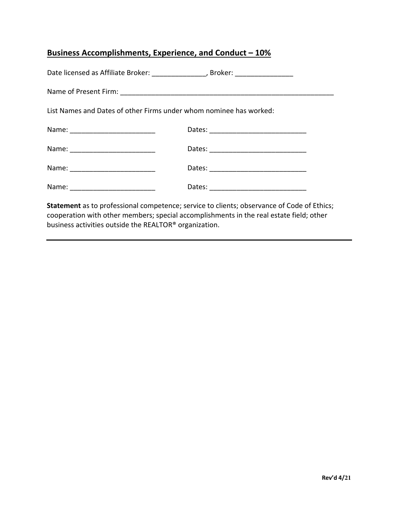### **Business Accomplishments, Experience, and Conduct – 10%**

| Date licensed as Affiliate Broker: ___________________, Broker: ________________ |  |  |
|----------------------------------------------------------------------------------|--|--|
|                                                                                  |  |  |
| List Names and Dates of other Firms under whom nominee has worked:               |  |  |
|                                                                                  |  |  |
|                                                                                  |  |  |
|                                                                                  |  |  |
|                                                                                  |  |  |
|                                                                                  |  |  |

**Statement** as to professional competence; service to clients; observance of Code of Ethics; cooperation with other members; special accomplishments in the real estate field; other business activities outside the REALTOR® organization.